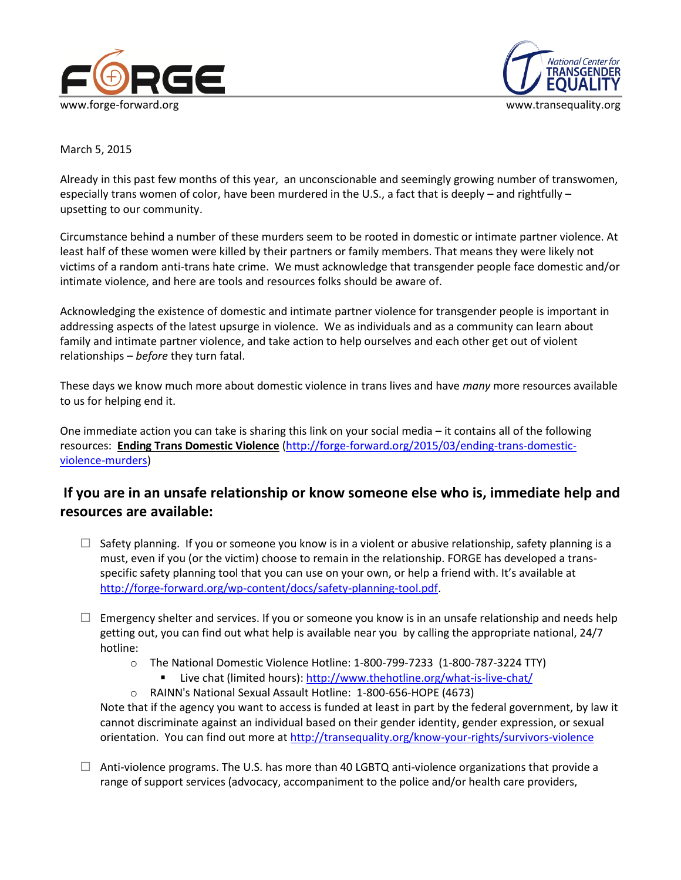



March 5, 2015

Already in this past few months of this year, an unconscionable and seemingly growing number of transwomen, especially trans women of color, have been murdered in the U.S., a fact that is deeply – and rightfully – upsetting to our community.

Circumstance behind a number of these murders seem to be rooted in domestic or intimate partner violence. At least half of these women were killed by their partners or family members. That means they were likely not victims of a random anti-trans hate crime. We must acknowledge that transgender people face domestic and/or intimate violence, and here are tools and resources folks should be aware of.

Acknowledging the existence of domestic and intimate partner violence for transgender people is important in addressing aspects of the latest upsurge in violence. We as individuals and as a community can learn about family and intimate partner violence, and take action to help ourselves and each other get out of violent relationships – *before* they turn fatal.

These days we know much more about domestic violence in trans lives and have *many* more resources available to us for helping end it.

One immediate action you can take is sharing this link on your social media – it contains all of the following resources: **[Ending Trans Domestic Violence](http://forge-forward.org/2015/03/ending-trans-domestic-violence-murders)** [\(http://forge-forward.org/2015/03/ending-trans-domestic](http://forge-forward.org/2015/03/ending-trans-domestic-violence-murders)[violence-murders\)](http://forge-forward.org/2015/03/ending-trans-domestic-violence-murders)

# **If you are in an unsafe relationship or know someone else who is, immediate help and resources are available:**

- $\Box$  Safety planning. If you or someone you know is in a violent or abusive relationship, safety planning is a must, even if you (or the victim) choose to remain in the relationship. FORGE has developed a transspecific safety planning tool that you can use on your own, or help a friend with. It's available at [http://forge-forward.org/wp-content/docs/safety-planning-tool.pdf.](http://forge-forward.org/wp-content/docs/safety-planning-tool.pdf)
- $\Box$  Emergency shelter and services. If you or someone you know is in an unsafe relationship and needs help getting out, you can find out what help is available near you by calling the appropriate national, 24/7 hotline:
	- o The National Domestic Violence Hotline: 1-800-799-7233 (1-800-787-3224 TTY)
		- Live chat (limited hours):<http://www.thehotline.org/what-is-live-chat/>
	- o RAINN's National Sexual Assault Hotline: 1-800-656-HOPE (4673)

Note that if the agency you want to access is funded at least in part by the federal government, by law it cannot discriminate against an individual based on their gender identity, gender expression, or sexual orientation. You can find out more at<http://transequality.org/know-your-rights/survivors-violence>

 $\Box$  Anti-violence programs. The U.S. has more than 40 LGBTQ anti-violence organizations that provide a range of support services (advocacy, accompaniment to the police and/or health care providers,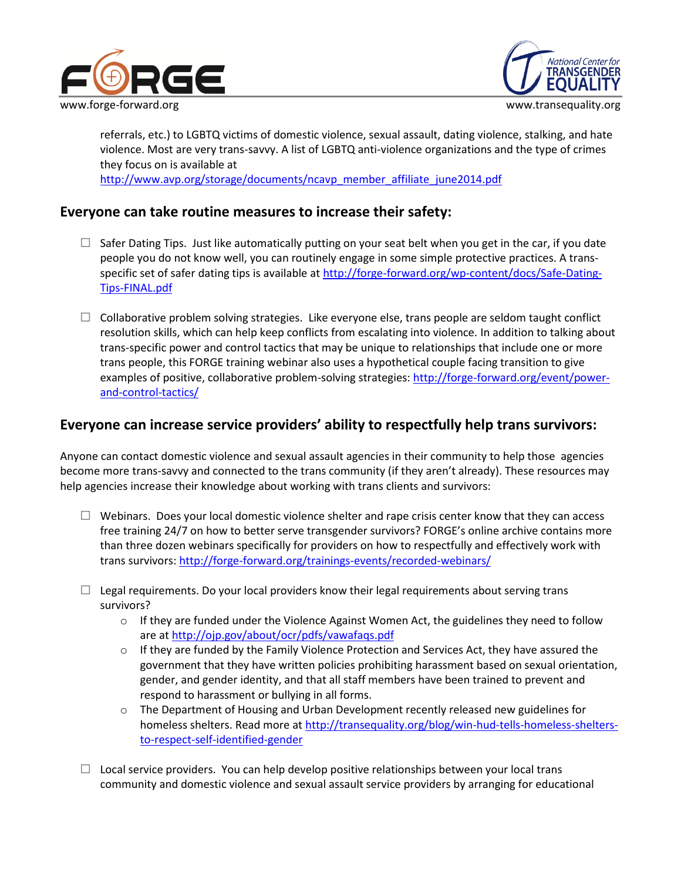



referrals, etc.) to LGBTQ victims of domestic violence, sexual assault, dating violence, stalking, and hate violence. Most are very trans-savvy. A list of LGBTQ anti-violence organizations and the type of crimes they focus on is available at [http://www.avp.org/storage/documents/ncavp\\_member\\_affiliate\\_june2014.pdf](http://www.avp.org/storage/documents/ncavp_member_affiliate_june2014.pdf)

### **Everyone can take routine measures to increase their safety:**

- $\Box$  Safer Dating Tips. Just like automatically putting on your seat belt when you get in the car, if you date people you do not know well, you can routinely engage in some simple protective practices. A transspecific set of safer dating tips is available at [http://forge-forward.org/wp-content/docs/Safe-Dating-](http://forge-forward.org/wp-content/docs/Safe-Dating-Tips-FINAL.pdf)[Tips-FINAL.pdf](http://forge-forward.org/wp-content/docs/Safe-Dating-Tips-FINAL.pdf)
- $\Box$  Collaborative problem solving strategies. Like everyone else, trans people are seldom taught conflict resolution skills, which can help keep conflicts from escalating into violence. In addition to talking about trans-specific power and control tactics that may be unique to relationships that include one or more trans people, this FORGE training webinar also uses a hypothetical couple facing transition to give examples of positive, collaborative problem-solving strategies[: http://forge-forward.org/event/power](http://forge-forward.org/event/power-and-control-tactics/)[and-control-tactics/](http://forge-forward.org/event/power-and-control-tactics/)

#### **Everyone can increase service providers' ability to respectfully help trans survivors:**

Anyone can contact domestic violence and sexual assault agencies in their community to help those agencies become more trans-savvy and connected to the trans community (if they aren't already). These resources may help agencies increase their knowledge about working with trans clients and survivors:

- $\Box$  Webinars. Does your local domestic violence shelter and rape crisis center know that they can access free training 24/7 on how to better serve transgender survivors? FORGE's online archive contains more than three dozen webinars specifically for providers on how to respectfully and effectively work with trans survivors:<http://forge-forward.org/trainings-events/recorded-webinars/>
- $\Box$  Legal requirements. Do your local providers know their legal requirements about serving trans survivors?
	- $\circ$  If they are funded under the Violence Against Women Act, the guidelines they need to follow are a[t http://ojp.gov/about/ocr/pdfs/vawafaqs.pdf](http://ojp.gov/about/ocr/pdfs/vawafaqs.pdf)
	- $\circ$  If they are funded by the Family Violence Protection and Services Act, they have assured the government that they have written policies prohibiting harassment based on sexual orientation, gender, and gender identity, and that all staff members have been trained to prevent and respond to harassment or bullying in all forms.
	- $\circ$  The Department of Housing and Urban Development recently released new guidelines for homeless shelters. Read more a[t http://transequality.org/blog/win-hud-tells-homeless-shelters](http://transequality.org/blog/win-hud-tells-homeless-shelters-to-respect-self-identified-gender)[to-respect-self-identified-gender](http://transequality.org/blog/win-hud-tells-homeless-shelters-to-respect-self-identified-gender)
- $\Box$  Local service providers. You can help develop positive relationships between your local trans community and domestic violence and sexual assault service providers by arranging for educational